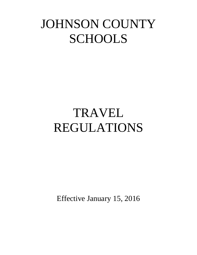## JOHNSON COUNTY **SCHOOLS**

# TRAVEL REGULATIONS

Effective January 15, 2016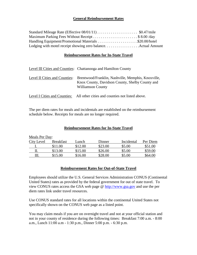#### **General Reimbursement Rates**

| Maximum Parking Fees Without Receipt \$ 8.00 /day |  |
|---------------------------------------------------|--|
|                                                   |  |
|                                                   |  |

#### **Reimbursement Rates for In-State Travel**

|                               | Level III Cities and Counties: Chattanooga and Hamilton County                                                                    |
|-------------------------------|-----------------------------------------------------------------------------------------------------------------------------------|
| Level II Cities and Counties: | Brentwood/Franklin, Nashville, Memphis, Knoxville,<br>Knox County, Davidson County, Shelby County and<br><b>Williamson County</b> |
| Level I Cities and Counties:  | All other cities and counties not listed above.                                                                                   |

The per diem rates for meals and incidentals are established on the reimbursement schedule below. Receipts for meals are no longer required.

#### **Reimbursement Rates for In-State Travel**

| Meals Per Day:    |                  |         |         |            |          |
|-------------------|------------------|---------|---------|------------|----------|
| <b>City Level</b> | <b>Breakfast</b> | Lunch   | Dinner  | Incidental | Per Diem |
|                   | \$11.00          | \$12.00 | \$23.00 | \$5.00     | \$51.00  |
| П.                | \$13.00          | \$15.00 | \$26.00 | \$5.00     | \$59.00  |
| Ш.                | \$15.00          | \$16.00 | \$28.00 | \$5.00     | \$64.00  |

#### **Reimbursement Rates for Out-of-State Travel**

Employees should utilize the U.S. General Services Administration CONUS (Continental United States) rates as provided by the federal government for out of state travel. To view CONUS rates access the GSA web page @ [http://www.gsa.gov](http://www.gsa.gov/) and use the per diem rates link under travel resources.

Use CONUS standard rates for all locations within the continental United States not specifically shown on the CONUS web page as a listed point.

You may claim meals if you are on overnight travel and not at your official station and not in your county of residence during the following times: Breakfast 7:00 a.m. - 8:00 a.m., Lunch 11:00 a.m - 1:30 p.m., Dinner 5:00 p.m. - 6:30 p.m.